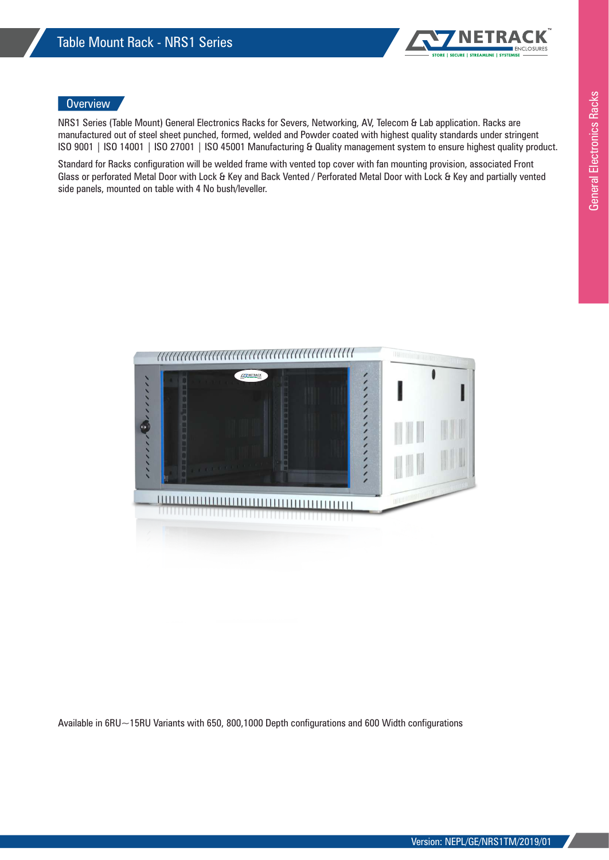

## **Overview**

NRS1 Series (Table Mount) General Electronics Racks for Severs, Networking, AV, Telecom & Lab application. Racks are manufactured out of steel sheet punched, formed, welded and Powder coated with highest quality standards under stringent ISO 9001 | ISO 14001 | ISO 27001 | ISO 45001 Manufacturing & Quality management system to ensure highest quality product.

Standard for Racks configuration will be welded frame with vented top cover with fan mounting provision, associated Front Glass or perforated Metal Door with Lock & Key and Back Vented / Perforated Metal Door with Lock & Key and partially vented side panels, mounted on table with 4 No bush/leveller.



Available in 6RU~15RU Variants with 650, 800,1000 Depth configurations and 600 Width configurations